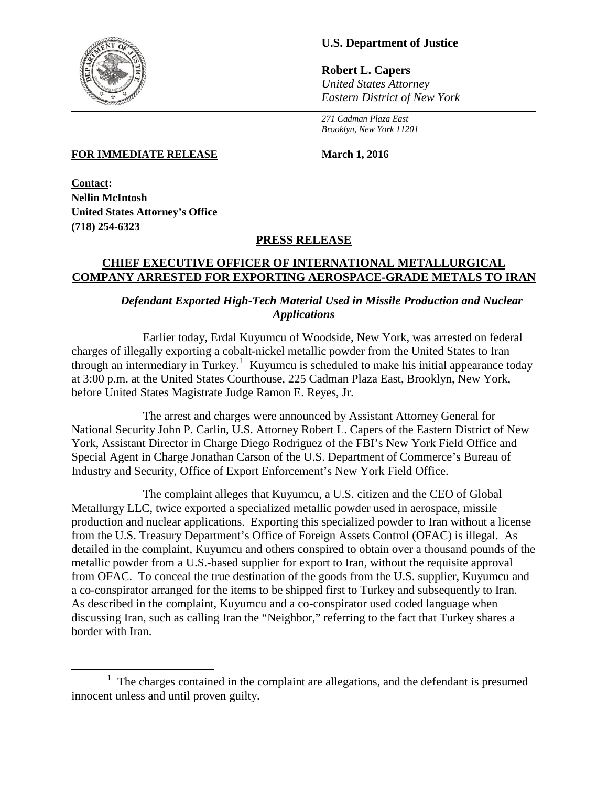

 $\overline{\phantom{a}}$ 

# **U.S. Department of Justice**

**Robert L. Capers** *United States Attorney Eastern District of New York*

*271 Cadman Plaza East Brooklyn, New York 11201*

#### **FOR IMMEDIATE RELEASE March 1, 2016**

**Contact: Nellin McIntosh United States Attorney's Office (718) 254-6323**

### **PRESS RELEASE**

#### **CHIEF EXECUTIVE OFFICER OF INTERNATIONAL METALLURGICAL COMPANY ARRESTED FOR EXPORTING AEROSPACE-GRADE METALS TO IRAN**

# *Defendant Exported High-Tech Material Used in Missile Production and Nuclear Applications*

Earlier today, Erdal Kuyumcu of Woodside, New York, was arrested on federal charges of illegally exporting a cobalt-nickel metallic powder from the United States to Iran through an intermediary in Turkey.<sup>[1](#page-0-0)</sup> Kuyumcu is scheduled to make his initial appearance today at 3:00 p.m. at the United States Courthouse, 225 Cadman Plaza East, Brooklyn, New York, before United States Magistrate Judge Ramon E. Reyes, Jr.

The arrest and charges were announced by Assistant Attorney General for National Security John P. Carlin, U.S. Attorney Robert L. Capers of the Eastern District of New York, Assistant Director in Charge Diego Rodriguez of the FBI's New York Field Office and Special Agent in Charge Jonathan Carson of the U.S. Department of Commerce's Bureau of Industry and Security, Office of Export Enforcement's New York Field Office.

The complaint alleges that Kuyumcu, a U.S. citizen and the CEO of Global Metallurgy LLC, twice exported a specialized metallic powder used in aerospace, missile production and nuclear applications. Exporting this specialized powder to Iran without a license from the U.S. Treasury Department's Office of Foreign Assets Control (OFAC) is illegal. As detailed in the complaint, Kuyumcu and others conspired to obtain over a thousand pounds of the metallic powder from a U.S.-based supplier for export to Iran, without the requisite approval from OFAC. To conceal the true destination of the goods from the U.S. supplier, Kuyumcu and a co-conspirator arranged for the items to be shipped first to Turkey and subsequently to Iran. As described in the complaint, Kuyumcu and a co-conspirator used coded language when discussing Iran, such as calling Iran the "Neighbor," referring to the fact that Turkey shares a border with Iran.

<span id="page-0-0"></span> $1$  The charges contained in the complaint are allegations, and the defendant is presumed innocent unless and until proven guilty.